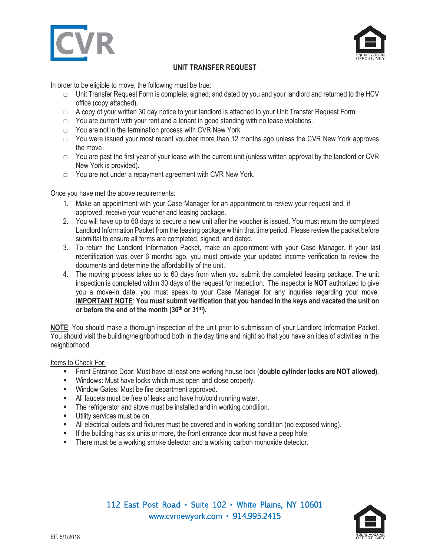



## **UNIT TRANSFER REQUEST**

In order to be eligible to move, the following must be true:

- $\Box$  Unit Transfer Request Form is complete, signed, and dated by you and your landlord and returned to the HCV office (copy attached).
- □ A copy of your written 30 day notice to your landlord is attached to your Unit Transfer Request Form.
- $\Box$  You are current with your rent and a tenant in good standing with no lease violations.
- □ You are not in the termination process with CVR New York.
- □ You were issued your most recent voucher more than 12 months ago unless the CVR New York approves the move
- $\Box$  You are past the first year of your lease with the current unit (unless written approval by the landlord or CVR New York is provided).
- □ You are not under a repayment agreement with CVR New York.

Once you have met the above requirements:

- 1. Make an appointment with your Case Manager for an appointment to review your request and, if approved, receive your voucher and leasing package.
- 2. You will have up to 60 days to secure a new unit after the voucher is issued. You must return the completed Landlord Information Packet from the leasing package within that time period. Please review the packet before submittal to ensure all forms are completed, signed, and dated.
- 3. To return the Landlord Information Packet, make an appointment with your Case Manager. If your last recertification was over 6 months ago, you must provide your updated income verification to review the documents and determine the affordability of the unit.
- 4. The moving process takes up to 60 days from when you submit the completed leasing package. The unit inspection is completed within 30 days of the request for inspection. The inspector is **NOT** authorized to give you a move-in date; you must speak to your Case Manager for any inquiries regarding your move. **IMPORTANT NOTE**: **You must submit verification that you handed in the keys and vacated the unit on**  or before the end of the month (30<sup>th</sup> or 31<sup>st</sup>).

**NOTE**: You should make a thorough inspection of the unit prior to submission of your Landlord Information Packet. You should visit the building/neighborhood both in the day time and night so that you have an idea of activities in the neighborhood.

Items to Check For:

- Front Entrance Door: Must have at least one working house lock (**double cylinder locks are NOT allowed)**.
- **Windows: Must have locks which must open and close properly.**
- **Window Gates: Must be fire department approved.**
- **EXECT All faucets must be free of leaks and have hot/cold running water.**
- **The refrigerator and stove must be installed and in working condition.**
- **Utility services must be on.**
- **All electrical outlets and fixtures must be covered and in working condition (no exposed wiring).**
- **If the building has six units or more, the front entrance door must have a peep hole.**
- **There must be a working smoke detector and a working carbon monoxide detector.**

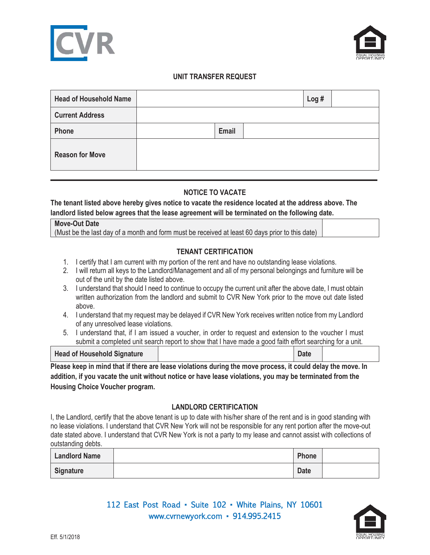



#### **UNIT TRANSFER REQUEST**

| <b>Head of Household Name</b> |       | Log# |  |
|-------------------------------|-------|------|--|
| <b>Current Address</b>        |       |      |  |
| Phone                         | Email |      |  |
| <b>Reason for Move</b>        |       |      |  |

## **NOTICE TO VACATE**

**The tenant listed above hereby gives notice to vacate the residence located at the address above. The landlord listed below agrees that the lease agreement will be terminated on the following date.** 

| <b>Move-Out Date</b>                                                                            |  |
|-------------------------------------------------------------------------------------------------|--|
| (Must be the last day of a month and form must be received at least 60 days prior to this date) |  |
|                                                                                                 |  |

# **TENANT CERTIFICATION**

- 1. I certify that I am current with my portion of the rent and have no outstanding lease violations.
- 2. I will return all keys to the Landlord/Management and all of my personal belongings and furniture will be out of the unit by the date listed above.
- 3. I understand that should I need to continue to occupy the current unit after the above date, I must obtain written authorization from the landlord and submit to CVR New York prior to the move out date listed above.
- 4. I understand that my request may be delayed if CVR New York receives written notice from my Landlord of any unresolved lease violations.
- 5. I understand that, if I am issued a voucher, in order to request and extension to the voucher I must submit a completed unit search report to show that I have made a good faith effort searching for a unit.

| <b>Head of Household Signature</b> |  |
|------------------------------------|--|
|                                    |  |

**Please keep in mind that if there are lease violations during the move process, it could delay the move. In addition, if you vacate the unit without notice or have lease violations, you may be terminated from the Housing Choice Voucher program.** 

## **LANDLORD CERTIFICATION**

I, the Landlord, certify that the above tenant is up to date with his/her share of the rent and is in good standing with no lease violations. I understand that CVR New York will not be responsible for any rent portion after the move-out date stated above. I understand that CVR New York is not a party to my lease and cannot assist with collections of outstanding debts.

| <b>Landlord Name</b> | Phone       |  |
|----------------------|-------------|--|
| Signature            | <b>Date</b> |  |